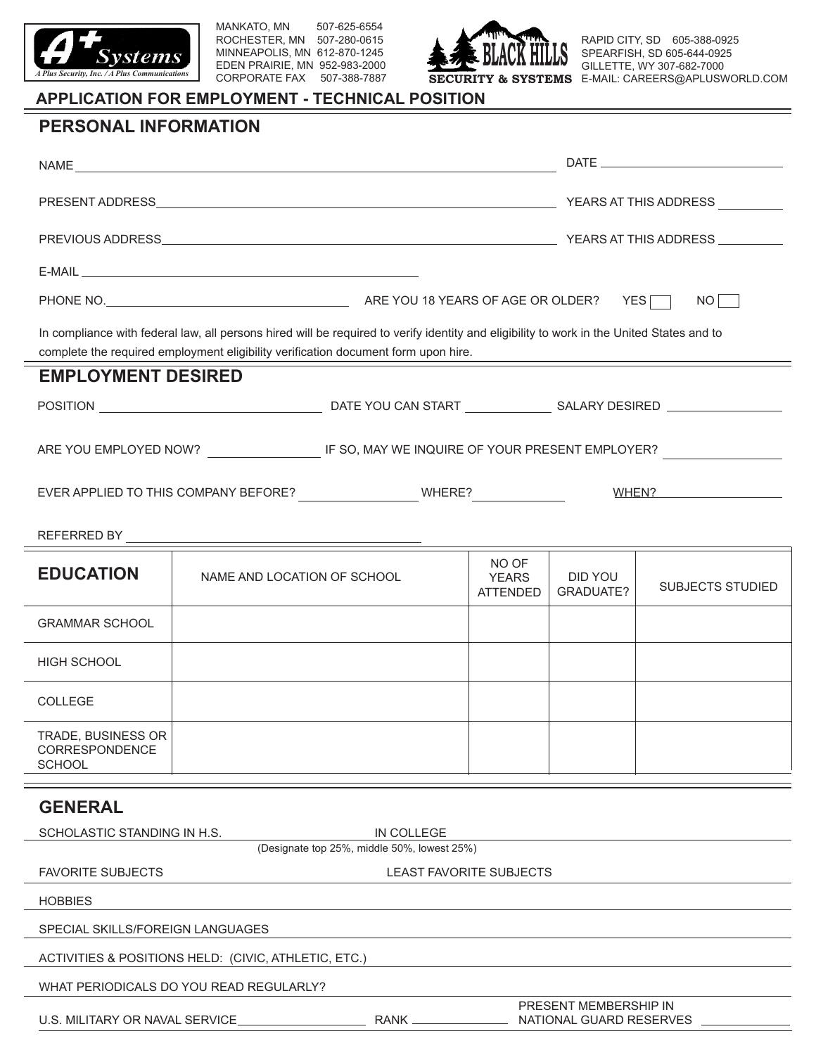

MANKATO, MN 507-625-6554 ROCHESTER, MN 507-280-0615 MINNEAPOLIS, MN 612-870-1245 EDEN PRAIRIE, MN 952-983-2000 CORPORATE FAX 507-388-7887



RAPID CITY, SD 605-388-0925 SPEARFISH, SD 605-644-0925 GILLETTE, WY 307-682-7000 **SECURITY & SYSTEMS** E-MAIL: CAREERS@APLUSWORLD.COM

## **APPLICATION FOR EMPLOYMENT - TECHNICAL POSITION**

## **PERSONAL INFORMATION**

|                                                                                                               | NO                                      |                                                                                                                                                                                                                                 |                                          |                             |                                                                                                                         |  |
|---------------------------------------------------------------------------------------------------------------|-----------------------------------------|---------------------------------------------------------------------------------------------------------------------------------------------------------------------------------------------------------------------------------|------------------------------------------|-----------------------------|-------------------------------------------------------------------------------------------------------------------------|--|
|                                                                                                               |                                         | In compliance with federal law, all persons hired will be required to verify identity and eligibility to work in the United States and to<br>complete the required employment eligibility verification document form upon hire. |                                          |                             |                                                                                                                         |  |
| <b>EMPLOYMENT DESIRED</b>                                                                                     |                                         |                                                                                                                                                                                                                                 |                                          |                             |                                                                                                                         |  |
|                                                                                                               |                                         |                                                                                                                                                                                                                                 |                                          |                             |                                                                                                                         |  |
| ARE YOU EMPLOYED NOW? ______________________IF SO, MAY WE INQUIRE OF YOUR PRESENT EMPLOYER? _________________ |                                         |                                                                                                                                                                                                                                 |                                          |                             |                                                                                                                         |  |
| EVER APPLIED TO THIS COMPANY BEFORE? WHERE?                                                                   |                                         |                                                                                                                                                                                                                                 |                                          |                             | <b>WHEN?</b> MERICAL MERICAN MERICAN MERICAN MERICAN MERICAN MERICAN MERICAN MERICAN MERICAN MERICAN MERICAN MERICAN ME |  |
|                                                                                                               |                                         |                                                                                                                                                                                                                                 |                                          |                             |                                                                                                                         |  |
| <b>EDUCATION</b>                                                                                              | NAME AND LOCATION OF SCHOOL             |                                                                                                                                                                                                                                 | NO OF<br><b>YEARS</b><br><b>ATTENDED</b> | <b>DID YOU</b><br>GRADUATE? | <b>SUBJECTS STUDIED</b>                                                                                                 |  |
| <b>GRAMMAR SCHOOL</b>                                                                                         |                                         |                                                                                                                                                                                                                                 |                                          |                             |                                                                                                                         |  |
| <b>HIGH SCHOOL</b>                                                                                            |                                         |                                                                                                                                                                                                                                 |                                          |                             |                                                                                                                         |  |
| <b>COLLEGE</b>                                                                                                |                                         |                                                                                                                                                                                                                                 |                                          |                             |                                                                                                                         |  |
| TRADE, BUSINESS OR<br>CORRESPONDENCE<br><b>SCHOOL</b>                                                         |                                         |                                                                                                                                                                                                                                 |                                          |                             |                                                                                                                         |  |
| <b>GENERAL</b>                                                                                                |                                         |                                                                                                                                                                                                                                 |                                          |                             |                                                                                                                         |  |
| SCHOLASTIC STANDING IN H.S.                                                                                   |                                         | IN COLLEGE                                                                                                                                                                                                                      |                                          |                             |                                                                                                                         |  |
| (Designate top 25%, middle 50%, lowest 25%)<br><b>FAVORITE SUBJECTS</b><br>LEAST FAVORITE SUBJECTS            |                                         |                                                                                                                                                                                                                                 |                                          |                             |                                                                                                                         |  |
| <b>HOBBIES</b>                                                                                                |                                         |                                                                                                                                                                                                                                 |                                          |                             |                                                                                                                         |  |
| SPECIAL SKILLS/FOREIGN LANGUAGES                                                                              |                                         |                                                                                                                                                                                                                                 |                                          |                             |                                                                                                                         |  |
| ACTIVITIES & POSITIONS HELD: (CIVIC, ATHLETIC, ETC.)                                                          |                                         |                                                                                                                                                                                                                                 |                                          |                             |                                                                                                                         |  |
|                                                                                                               | WHAT PERIODICALS DO YOU READ REGULARLY? |                                                                                                                                                                                                                                 |                                          |                             |                                                                                                                         |  |

U.S. MILITARY OR NAVAL SERVICE

| ۰Ą۱. | v. |  |
|------|----|--|
|      |    |  |

PRESENT MEMBERSHIP IN<br>NATIONAL GUARD RESERVES